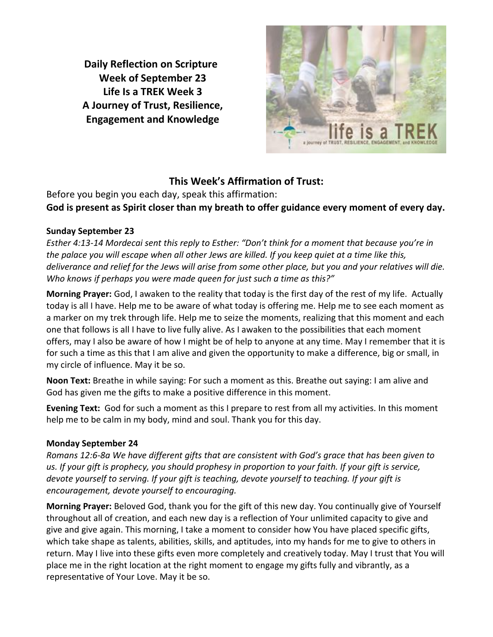**Daily Reflection on Scripture Week of September 23 Life Is a TREK Week 3 A Journey of Trust, Resilience, Engagement and Knowledge**



# **This Week's Affirmation of Trust:**

Before you begin you each day, speak this affirmation: **God is present as Spirit closer than my breath to offer guidance every moment of every day.**

# **Sunday September 23**

*Esther 4:13-14 Mordecai sent this reply to Esther: "Don't think for a moment that because you're in the palace you will escape when all other Jews are killed. If you keep quiet at a time like this, deliverance and relief for the Jews will arise from some other place, but you and your relatives will die. Who knows if perhaps you were made queen for just such a time as this?"*

**Morning Prayer:** God, I awaken to the reality that today is the first day of the rest of my life. Actually today is all I have. Help me to be aware of what today is offering me. Help me to see each moment as a marker on my trek through life. Help me to seize the moments, realizing that this moment and each one that follows is all I have to live fully alive. As I awaken to the possibilities that each moment offers, may I also be aware of how I might be of help to anyone at any time. May I remember that it is for such a time as this that I am alive and given the opportunity to make a difference, big or small, in my circle of influence. May it be so.

**Noon Text:** Breathe in while saying: For such a moment as this. Breathe out saying: I am alive and God has given me the gifts to make a positive difference in this moment.

**Evening Text:** God for such a moment as this I prepare to rest from all my activities. In this moment help me to be calm in my body, mind and soul. Thank you for this day.

# **Monday September 24**

*Romans 12:6-8a We have different gifts that are consistent with God's grace that has been given to us. If your gift is prophecy, you should prophesy in proportion to your faith. If your gift is service, devote yourself to serving. If your gift is teaching, devote yourself to teaching. If your gift is encouragement, devote yourself to encouraging.*

**Morning Prayer:** Beloved God, thank you for the gift of this new day. You continually give of Yourself throughout all of creation, and each new day is a reflection of Your unlimited capacity to give and give and give again. This morning, I take a moment to consider how You have placed specific gifts, which take shape as talents, abilities, skills, and aptitudes, into my hands for me to give to others in return. May I live into these gifts even more completely and creatively today. May I trust that You will place me in the right location at the right moment to engage my gifts fully and vibrantly, as a representative of Your Love. May it be so.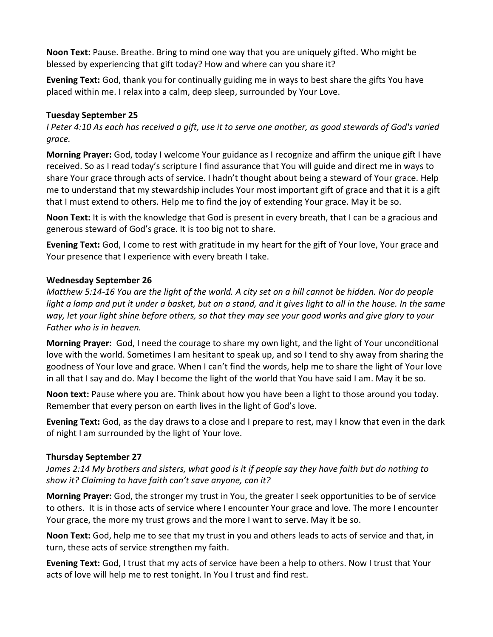**Noon Text:** Pause. Breathe. Bring to mind one way that you are uniquely gifted. Who might be blessed by experiencing that gift today? How and where can you share it?

**Evening Text:** God, thank you for continually guiding me in ways to best share the gifts You have placed within me. I relax into a calm, deep sleep, surrounded by Your Love.

#### **Tuesday September 25**

*I Peter 4:10 As each has received a gift, use it to serve one another, as good stewards of God's varied grace.*

**Morning Prayer:** God, today I welcome Your guidance as I recognize and affirm the unique gift I have received. So as I read today's scripture I find assurance that You will guide and direct me in ways to share Your grace through acts of service. I hadn't thought about being a steward of Your grace. Help me to understand that my stewardship includes Your most important gift of grace and that it is a gift that I must extend to others. Help me to find the joy of extending Your grace. May it be so.

**Noon Text:** It is with the knowledge that God is present in every breath, that I can be a gracious and generous steward of God's grace. It is too big not to share.

**Evening Text:** God, I come to rest with gratitude in my heart for the gift of Your love, Your grace and Your presence that I experience with every breath I take.

### **Wednesday September 26**

*Matthew 5:14-16 You are the light of the world. A city set on a hill cannot be hidden. Nor do people light a lamp and put it under a basket, but on a stand, and it gives light to all in the house. In the same way, let your light shine before others, so that they may see your good works and give glory to your Father who is in heaven.*

**Morning Prayer:** God, I need the courage to share my own light, and the light of Your unconditional love with the world. Sometimes I am hesitant to speak up, and so I tend to shy away from sharing the goodness of Your love and grace. When I can't find the words, help me to share the light of Your love in all that I say and do. May I become the light of the world that You have said I am. May it be so.

**Noon text:** Pause where you are. Think about how you have been a light to those around you today. Remember that every person on earth lives in the light of God's love.

**Evening Text:** God, as the day draws to a close and I prepare to rest, may I know that even in the dark of night I am surrounded by the light of Your love.

# **Thursday September 27**

*James 2:14 My brothers and sisters, what good is it if people say they have faith but do nothing to show it? Claiming to have faith can't save anyone, can it?*

**Morning Prayer:** God, the stronger my trust in You, the greater I seek opportunities to be of service to others. It is in those acts of service where I encounter Your grace and love. The more I encounter Your grace, the more my trust grows and the more I want to serve. May it be so.

**Noon Text:** God, help me to see that my trust in you and others leads to acts of service and that, in turn, these acts of service strengthen my faith.

**Evening Text:** God, I trust that my acts of service have been a help to others. Now I trust that Your acts of love will help me to rest tonight. In You I trust and find rest.